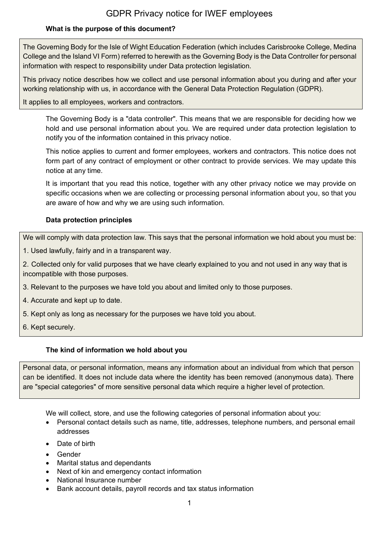### **What is the purpose of this document?**

The Governing Body for the Isle of Wight Education Federation (which includes Carisbrooke College, Medina College and the Island VI Form) referred to herewith as the Governing Body is the Data Controller for personal information with respect to responsibility under Data protection legislation.

This privacy notice describes how we collect and use personal information about you during and after your working relationship with us, in accordance with the General Data Protection Regulation (GDPR).

It applies to all employees, workers and contractors.

The Governing Body is a "data controller". This means that we are responsible for deciding how we hold and use personal information about you. We are required under data protection legislation to notify you of the information contained in this privacy notice.

This notice applies to current and former employees, workers and contractors. This notice does not form part of any contract of employment or other contract to provide services. We may update this notice at any time.

It is important that you read this notice, together with any other privacy notice we may provide on specific occasions when we are collecting or processing personal information about you, so that you are aware of how and why we are using such information.

### **Data protection principles**

We will comply with data protection law. This says that the personal information we hold about you must be:

1. Used lawfully, fairly and in a transparent way.

2. Collected only for valid purposes that we have clearly explained to you and not used in any way that is incompatible with those purposes.

- 3. Relevant to the purposes we have told you about and limited only to those purposes.
- 4. Accurate and kept up to date.
- 5. Kept only as long as necessary for the purposes we have told you about.
- 6. Kept securely.

### **The kind of information we hold about you**

Personal data, or personal information, means any information about an individual from which that person can be identified. It does not include data where the identity has been removed (anonymous data). There are "special categories" of more sensitive personal data which require a higher level of protection.

We will collect, store, and use the following categories of personal information about you:

- Personal contact details such as name, title, addresses, telephone numbers, and personal email addresses
- Date of birth
- Gender
- Marital status and dependants
- Next of kin and emergency contact information
- National Insurance number
- Bank account details, payroll records and tax status information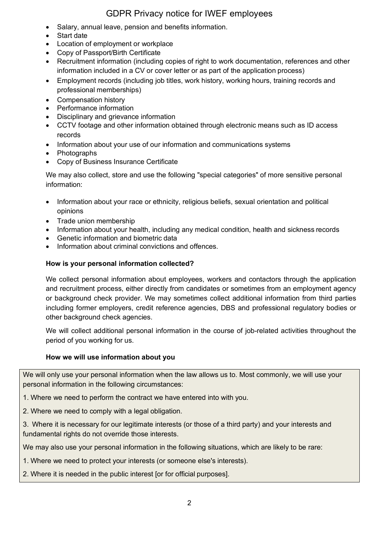- Salary, annual leave, pension and benefits information.
- Start date
- Location of employment or workplace
- Copy of Passport/Birth Certificate
- Recruitment information (including copies of right to work documentation, references and other information included in a CV or cover letter or as part of the application process)
- Employment records (including job titles, work history, working hours, training records and professional memberships)
- Compensation history
- Performance information
- Disciplinary and grievance information
- CCTV footage and other information obtained through electronic means such as ID access records
- Information about your use of our information and communications systems
- Photographs
- Copy of Business Insurance Certificate

We may also collect, store and use the following "special categories" of more sensitive personal information:

- Information about your race or ethnicity, religious beliefs, sexual orientation and political opinions
- Trade union membership
- Information about your health, including any medical condition, health and sickness records
- Genetic information and biometric data
- Information about criminal convictions and offences.

### **How is your personal information collected?**

We collect personal information about employees, workers and contactors through the application and recruitment process, either directly from candidates or sometimes from an employment agency or background check provider. We may sometimes collect additional information from third parties including former employers, credit reference agencies, DBS and professional regulatory bodies or other background check agencies.

We will collect additional personal information in the course of job-related activities throughout the period of you working for us.

### **How we will use information about you**

We will only use your personal information when the law allows us to. Most commonly, we will use your personal information in the following circumstances:

1. Where we need to perform the contract we have entered into with you.

2. Where we need to comply with a legal obligation.

3. Where it is necessary for our legitimate interests (or those of a third party) and your interests and fundamental rights do not override those interests.

We may also use your personal information in the following situations, which are likely to be rare:

1. Where we need to protect your interests (or someone else's interests).

2. Where it is needed in the public interest [or for official purposes].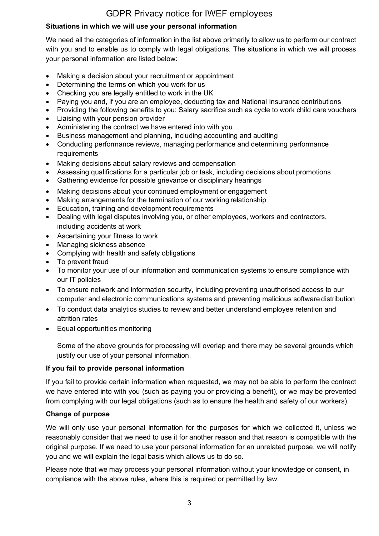## **Situations in which we will use your personal information**

We need all the categories of information in the list above primarily to allow us to perform our contract with you and to enable us to comply with legal obligations. The situations in which we will process your personal information are listed below:

- Making a decision about your recruitment or appointment
- Determining the terms on which you work for us
- Checking you are legally entitled to work in the UK
- Paying you and, if you are an employee, deducting tax and National Insurance contributions
- Providing the following benefits to you: Salary sacrifice such as cycle to work child care vouchers
- Liaising with your pension provider
- Administering the contract we have entered into with you
- Business management and planning, including accounting and auditing
- Conducting performance reviews, managing performance and determining performance requirements
- Making decisions about salary reviews and compensation
- Assessing qualifications for a particular job or task, including decisions about promotions
- Gathering evidence for possible grievance or disciplinary hearings
- Making decisions about your continued employment or engagement
- Making arrangements for the termination of our working relationship
- Education, training and development requirements
- Dealing with legal disputes involving you, or other employees, workers and contractors, including accidents at work
- Ascertaining your fitness to work
- Managing sickness absence
- Complying with health and safety obligations
- To prevent fraud
- To monitor your use of our information and communication systems to ensure compliance with our IT policies
- To ensure network and information security, including preventing unauthorised access to our computer and electronic communications systems and preventing malicious software distribution
- To conduct data analytics studies to review and better understand employee retention and attrition rates
- Equal opportunities monitoring

Some of the above grounds for processing will overlap and there may be several grounds which justify our use of your personal information.

### **If you fail to provide personal information**

If you fail to provide certain information when requested, we may not be able to perform the contract we have entered into with you (such as paying you or providing a benefit), or we may be prevented from complying with our legal obligations (such as to ensure the health and safety of our workers).

## **Change of purpose**

We will only use your personal information for the purposes for which we collected it, unless we reasonably consider that we need to use it for another reason and that reason is compatible with the original purpose. If we need to use your personal information for an unrelated purpose, we will notify you and we will explain the legal basis which allows us to do so.

Please note that we may process your personal information without your knowledge or consent, in compliance with the above rules, where this is required or permitted by law.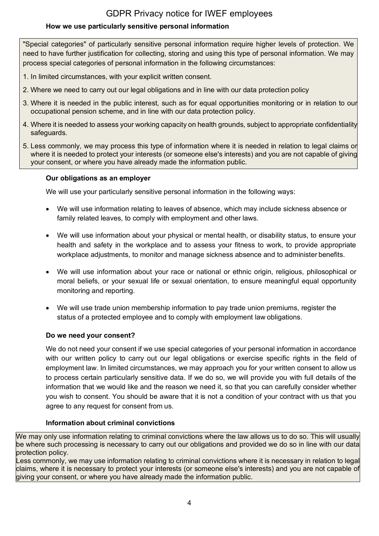## **How we use particularly sensitive personal information**

"Special categories" of particularly sensitive personal information require higher levels of protection. We need to have further justification for collecting, storing and using this type of personal information. We may process special categories of personal information in the following circumstances:

- 1. In limited circumstances, with your explicit written consent.
- 2. Where we need to carry out our legal obligations and in line with our data protection policy
- 3. Where it is needed in the public interest, such as for equal opportunities monitoring or in relation to our occupational pension scheme, and in line with our data protection policy.
- 4. Where it is needed to assess your working capacity on health grounds, subject to appropriate confidentiality safeguards.
- 5. Less commonly, we may process this type of information where it is needed in relation to legal claims or where it is needed to protect your interests (or someone else's interests) and you are not capable of giving your consent, or where you have already made the information public.

### **Our obligations as an employer**

We will use your particularly sensitive personal information in the following ways:

- We will use information relating to leaves of absence, which may include sickness absence or family related leaves, to comply with employment and other laws.
- We will use information about your physical or mental health, or disability status, to ensure your health and safety in the workplace and to assess your fitness to work, to provide appropriate workplace adjustments, to monitor and manage sickness absence and to administer benefits.
- We will use information about your race or national or ethnic origin, religious, philosophical or moral beliefs, or your sexual life or sexual orientation, to ensure meaningful equal opportunity monitoring and reporting.
- We will use trade union membership information to pay trade union premiums, register the status of a protected employee and to comply with employment law obligations.

## **Do we need your consent?**

We do not need your consent if we use special categories of your personal information in accordance with our written policy to carry out our legal obligations or exercise specific rights in the field of employment law. In limited circumstances, we may approach you for your written consent to allow us to process certain particularly sensitive data. If we do so, we will provide you with full details of the information that we would like and the reason we need it, so that you can carefully consider whether you wish to consent. You should be aware that it is not a condition of your contract with us that you agree to any request for consent from us.

## **Information about criminal convictions**

We may only use information relating to criminal convictions where the law allows us to do so. This will usually be where such processing is necessary to carry out our obligations and provided we do so in line with our data protection policy.

Less commonly, we may use information relating to criminal convictions where it is necessary in relation to legal claims, where it is necessary to protect your interests (or someone else's interests) and you are not capable of giving your consent, or where you have already made the information public.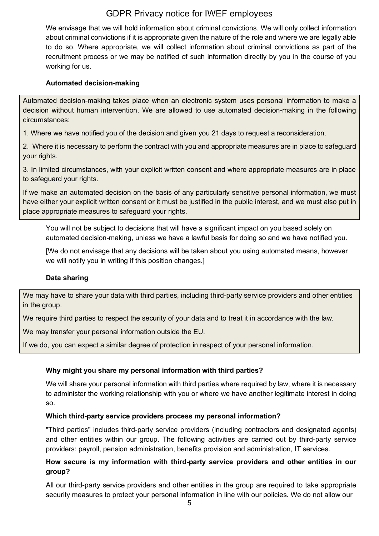We envisage that we will hold information about criminal convictions. We will only collect information about criminal convictions if it is appropriate given the nature of the role and where we are legally able to do so. Where appropriate, we will collect information about criminal convictions as part of the recruitment process or we may be notified of such information directly by you in the course of you working for us.

### **Automated decision-making**

Automated decision-making takes place when an electronic system uses personal information to make a decision without human intervention. We are allowed to use automated decision-making in the following circumstances:

1. Where we have notified you of the decision and given you 21 days to request a reconsideration.

2. Where it is necessary to perform the contract with you and appropriate measures are in place to safeguard your rights.

3. In limited circumstances, with your explicit written consent and where appropriate measures are in place to safeguard your rights.

If we make an automated decision on the basis of any particularly sensitive personal information, we must have either your explicit written consent or it must be justified in the public interest, and we must also put in place appropriate measures to safeguard your rights.

You will not be subject to decisions that will have a significant impact on you based solely on automated decision-making, unless we have a lawful basis for doing so and we have notified you.

[We do not envisage that any decisions will be taken about you using automated means, however we will notify you in writing if this position changes.]

### **Data sharing**

We may have to share your data with third parties, including third-party service providers and other entities in the group.

We require third parties to respect the security of your data and to treat it in accordance with the law.

We may transfer your personal information outside the EU.

If we do, you can expect a similar degree of protection in respect of your personal information.

### **Why might you share my personal information with third parties?**

We will share your personal information with third parties where required by law, where it is necessary to administer the working relationship with you or where we have another legitimate interest in doing so.

### **Which third-party service providers process my personal information?**

"Third parties" includes third-party service providers (including contractors and designated agents) and other entities within our group. The following activities are carried out by third-party service providers: payroll, pension administration, benefits provision and administration, IT services.

### **How secure is my information with third-party service providers and other entities in our group?**

All our third-party service providers and other entities in the group are required to take appropriate security measures to protect your personal information in line with our policies. We do not allow our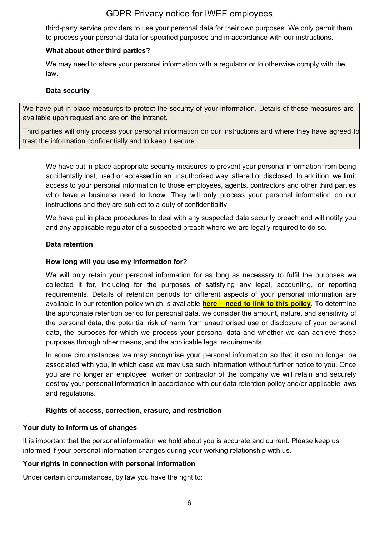third-party service providers to use your personal data for their own purposes. We only permit them to process your personal data for specified purposes and in accordance with our instructions.

### **What about other third parties?**

We may need to share your personal information with a regulator or to otherwise comply with the law.

#### **Data security**

We have put in place measures to protect the security of your information. Details of these measures are available upon request and are on the intranet.

Third parties will only process your personal information on our instructions and where they have agreed to treat the information confidentially and to keep it secure.

We have put in place appropriate security measures to prevent your personal information from being accidentally lost, used or accessed in an unauthorised way, altered or disclosed. In addition, we limit access to your personal information to those employees, agents, contractors and other third parties who have a business need to know. They will only process your personal information on our instructions and they are subject to a duty of confidentiality.

We have put in place procedures to deal with any suspected data security breach and will notify you and any applicable regulator of a suspected breach where we are legally required to do so.

#### **Data retention**

#### **How long will you use my information for?**

We will only retain your personal information for as long as necessary to fulfil the purposes we collected it for, including for the purposes of satisfying any legal, accounting, or reporting requirements. Details of retention periods for different aspects of your personal information are available in our retention policy which is available **here – need to link to this policy.** To determine the appropriate retention period for personal data, we consider the amount, nature, and sensitivity of the personal data, the potential risk of harm from unauthorised use or disclosure of your personal data, the purposes for which we process your personal data and whether we can achieve those purposes through other means, and the applicable legal requirements.

In some circumstances we may anonymise your personal information so that it can no longer be associated with you, in which case we may use such information without further notice to you. Once you are no longer an employee, worker or contractor of the company we will retain and securely destroy your personal information in accordance with our data retention policy and/or applicable laws and regulations.

### **Rights of access, correction, erasure, and restriction**

### **Your duty to inform us of changes**

It is important that the personal information we hold about you is accurate and current. Please keep us informed if your personal information changes during your working relationship with us.

#### **Your rights in connection with personal information**

Under certain circumstances, by law you have the right to: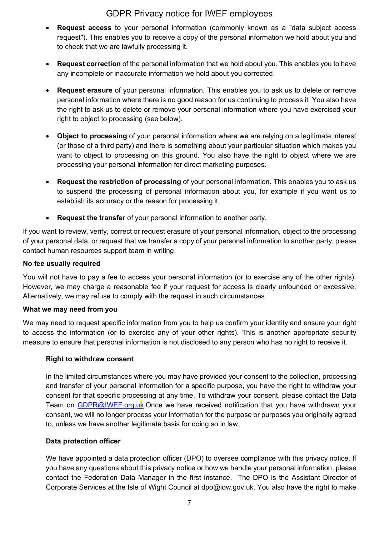- **Request access** to your personal information (commonly known as a "data subject access request"). This enables you to receive a copy of the personal information we hold about you and to check that we are lawfully processing it.
- **Request correction** of the personal information that we hold about you. This enables you to have any incomplete or inaccurate information we hold about you corrected.
- **Request erasure** of your personal information. This enables you to ask us to delete or remove personal information where there is no good reason for us continuing to process it. You also have the right to ask us to delete or remove your personal information where you have exercised your right to object to processing (see below).
- **Object to processing** of your personal information where we are relying on a legitimate interest (or those of a third party) and there is something about your particular situation which makes you want to object to processing on this ground. You also have the right to object where we are processing your personal information for direct marketing purposes.
- **Request the restriction of processing** of your personal information. This enables you to ask us to suspend the processing of personal information about you, for example if you want us to establish its accuracy or the reason for processing it.
- **Request the transfer** of your personal information to another party.

If you want to review, verify, correct or request erasure of your personal information, object to the processing of your personal data, or request that we transfer a copy of your personal information to another party, please contact human resources support team in writing.

#### **No fee usually required**

You will not have to pay a fee to access your personal information (or to exercise any of the other rights). However, we may charge a reasonable fee if your request for access is clearly unfounded or excessive. Alternatively, we may refuse to comply with the request in such circumstances.

#### **What we may need from you**

We may need to request specific information from you to help us confirm your identity and ensure your right to access the information (or to exercise any of your other rights). This is another appropriate security measure to ensure that personal information is not disclosed to any person who has no right to receive it.

#### **Right to withdraw consent**

In the limited circumstances where you may have provided your consent to the collection, processing and transfer of your personal information for a specific purpose, you have the right to withdraw your consent for that specific processing at any time. To withdraw your consent, please contact the Data Team on [GDPR@IWEF.org.uk.](mailto:GDPR@IWEF.org.uk)Once we have received notification that you have withdrawn your consent, we will no longer process your information for the purpose or purposes you originally agreed to, unless we have another legitimate basis for doing so in law.

#### **Data protection officer**

We have appointed a data protection officer (DPO) to oversee compliance with this privacy notice. If you have any questions about this privacy notice or how we handle your personal information, please contact the Federation Data Manager in the first instance. The DPO is the Assistant Director of Corporate Services at the Isle of Wight Council at dpo@iow.gov.uk. You also have the right to make